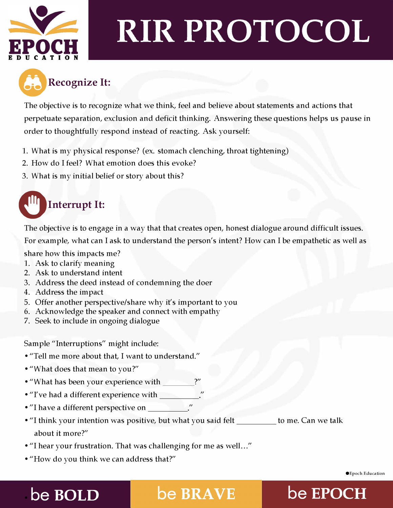

# **RIR PROTOCOL**



The objective is to recognize what we think, feel and believe about statements and actions that perpetuate separation, exclusion and deficit thinking. Answering these questions helps us pause in order to thoughtfully respond instead of reacting. Ask yourself:

- 1. What is my physical response? (ex. stomach clenching, throat tightening)
- 2. How do I feel? What emotion does this evoke?
- 3. What is my initial belief or story about this?

### **Interrupt It:**

The objective is to engage in a way that that creates open, honest dialogue around difficult issues. For example, what can I ask to understand the person's intent? How can I be empathetic as well as

share how this impacts me?

- 1. Ask to clarify meaning
- 2. Ask to understand intent
- 3. Address the deed instead of condemning the doer
- 4. Address the impact
- 5. Offer another perspective/share why it's important to you
- 6. Acknowledge the speaker and connect with empathy
- 7. Seek to include in ongoing dialogue

Sample "Interruptions" might include:

- "Tell me more about that, I want to understand."
- "What does that mean to you?"
- "What has been your experience with \_\_\_\_\_\_\_?"
- "I've had a different experience with
- "I have a different perspective on
- "I think your intention was positive, but what you said felt \_\_\_\_\_\_\_\_\_ to me. Can we talk about it more?"
- "I hear your frustration. That was challenging for me as well..."
- "How do you think we can address that?"

### • **be BOLD be EPOCH**

©Epoch Education